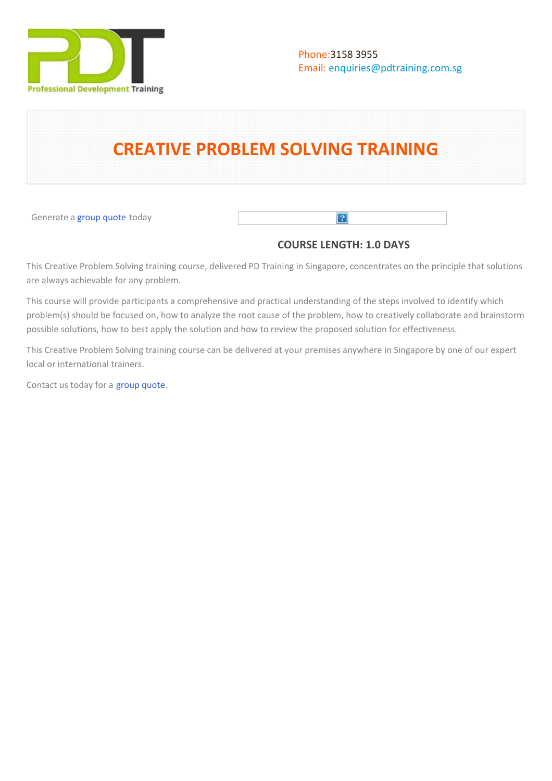

# **CREATIVE PROBLEM SOLVING TRAINING**

Generate a [group quote](https://pdtraining.com.sg/bookings/inhouseex1/quoterequestex1a.aspx?cse=PDT0010) today

# **COURSE LENGTH: 1.0 DAYS**

 $\lceil 2 \rceil$ 

This Creative Problem Solving training course, delivered PD Training in Singapore, concentrates on the principle that solutions are always achievable for any problem.

This course will provide participants a comprehensive and practical understanding of the steps involved to identify which problem(s) should be focused on, how to analyze the root cause of the problem, how to creatively collaborate and brainstorm possible solutions, how to best apply the solution and how to review the proposed solution for effectiveness.

This Creative Problem Solving training course can be delivered at your premises anywhere in Singapore by one of our expert local or international trainers.

Contact us today for a [group quote.](https://PD Training.com.sg/bookings/inhouseex1/quoterequestex1a.aspx)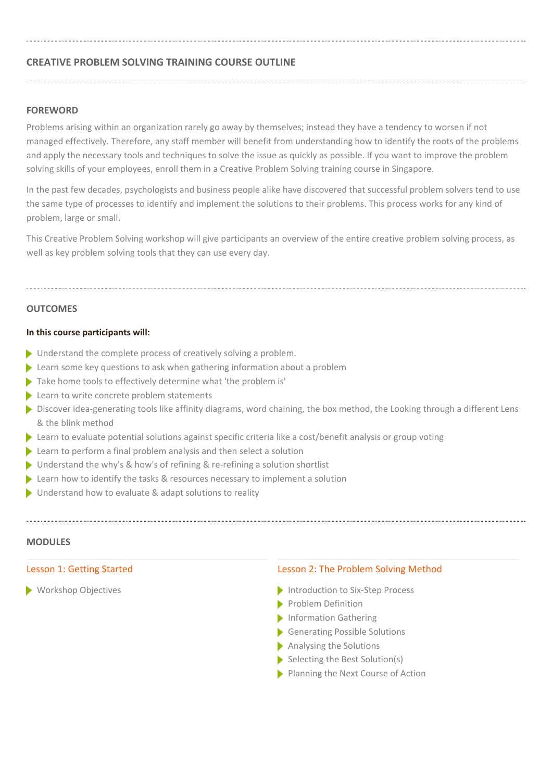# **CREATIVE PROBLEM SOLVING TRAINING COURSE OUTLINE**

# **FOREWORD**

Problems arising within an organization rarely go away by themselves; instead they have a tendency to worsen if not managed effectively. Therefore, any staff member will benefit from understanding how to identify the roots of the problems and apply the necessary tools and techniques to solve the issue as quickly as possible. If you want to improve the problem solving skills of your employees, enroll them in a Creative Problem Solving training course in Singapore.

In the past few decades, psychologists and business people alike have discovered that successful problem solvers tend to use the same type of processes to identify and implement the solutions to their problems. This process works for any kind of problem, large or small.

This Creative Problem Solving workshop will give participants an overview of the entire creative problem solving process, as well as key problem solving tools that they can use every day.

#### **OUTCOMES**

#### **In this course participants will:**

- ▶ Understand the complete process of creatively solving a problem.
- Learn some key questions to ask when gathering information about a problem
- Take home tools to effectively determine what 'the problem is'
- Learn to write concrete problem statements
- Discover idea-generating tools like affinity diagrams, word chaining, the box method, the Looking through a different Lens & the blink method
- Learn to evaluate potential solutions against specific criteria like a cost/benefit analysis or group voting
- Learn to perform a final problem analysis and then select a solution
- ▶ Understand the why's & how's of refining & re-refining a solution shortlist
- $\blacktriangleright$  Learn how to identify the tasks & resources necessary to implement a solution
- ▶ Understand how to evaluate & adapt solutions to reality

# **MODULES**

#### Lesson 1: Getting Started

Workshop Objectives

#### Lesson 2: The Problem Solving Method

- Introduction to Six-Step Process
- Problem Definition
- Information Gathering
- Generating Possible Solutions
- Analysing the Solutions
- $\blacktriangleright$  Selecting the Best Solution(s)
- Planning the Next Course of Action